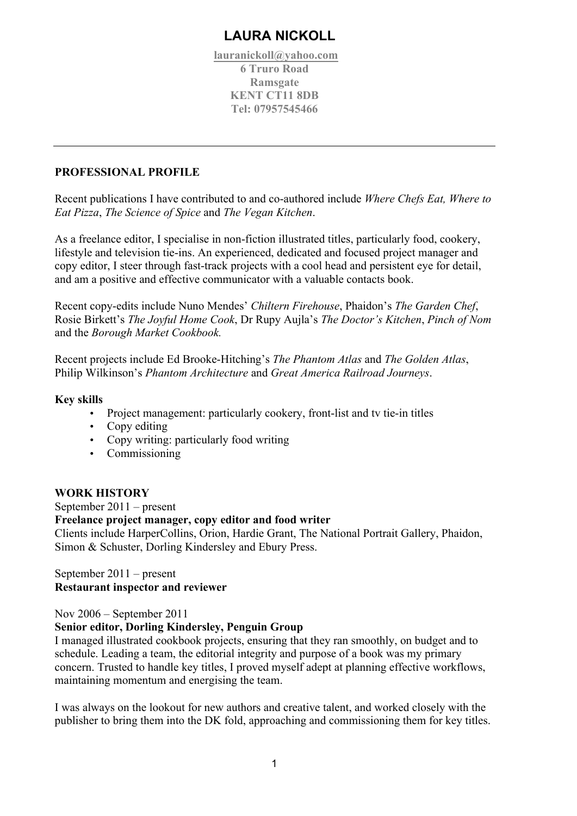# **LAURA NICKOLL**

**lauranickoll@yahoo.com 6 Truro Road Ramsgate KENT CT11 8DB Tel: 07957545466**

## **PROFESSIONAL PROFILE**

Recent publications I have contributed to and co-authored include *Where Chefs Eat, Where to Eat Pizza*, *The Science of Spice* and *The Vegan Kitchen*.

As a freelance editor, I specialise in non-fiction illustrated titles, particularly food, cookery, lifestyle and television tie-ins. An experienced, dedicated and focused project manager and copy editor, I steer through fast-track projects with a cool head and persistent eye for detail, and am a positive and effective communicator with a valuable contacts book.

Recent copy-edits include Nuno Mendes' *Chiltern Firehouse*, Phaidon's *The Garden Chef*, Rosie Birkett's *The Joyful Home Cook*, Dr Rupy Aujla's *The Doctor's Kitchen*, *Pinch of Nom* and the *Borough Market Cookbook.*

Recent projects include Ed Brooke-Hitching's *The Phantom Atlas* and *The Golden Atlas*, Philip Wilkinson's *Phantom Architecture* and *Great America Railroad Journeys*.

## **Key skills**

- Project management: particularly cookery, front-list and tv tie-in titles
- Copy editing
- Copy writing: particularly food writing
- Commissioning

## **WORK HISTORY**

September 2011 – present **Freelance project manager, copy editor and food writer**  Clients include HarperCollins, Orion, Hardie Grant, The National Portrait Gallery, Phaidon, Simon & Schuster, Dorling Kindersley and Ebury Press.

## September 2011 – present **Restaurant inspector and reviewer**

Nov 2006 – September 2011

#### **Senior editor, Dorling Kindersley, Penguin Group**

I managed illustrated cookbook projects, ensuring that they ran smoothly, on budget and to schedule. Leading a team, the editorial integrity and purpose of a book was my primary concern. Trusted to handle key titles, I proved myself adept at planning effective workflows, maintaining momentum and energising the team.

I was always on the lookout for new authors and creative talent, and worked closely with the publisher to bring them into the DK fold, approaching and commissioning them for key titles.